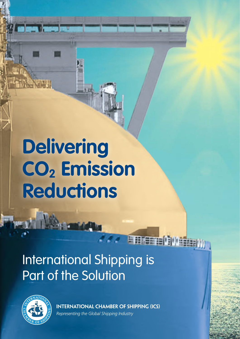# **Delivering**  CO<sub>2</sub> Emission **Reductions**

## International Shipping is Part of the Solution



**INTERNATIONAL CHAMBER OF SHIPPING (ICS)**

Tree pe (Digo

*Representing the Global Shipping Industry*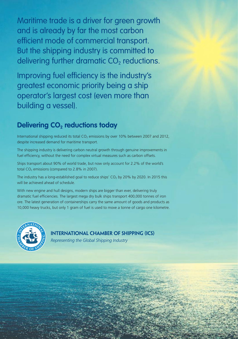Maritime trade is a driver for green growth and is already by far the most carbon efficient mode of commercial transport. But the shipping industry is committed to delivering further dramatic  $CO<sub>2</sub>$  reductions.

Improving fuel efficiency is the industry's greatest economic priority being a ship operator's largest cost (even more than building a vessel).

#### **Delivering CO<sub>2</sub> reductions today**

International shipping reduced its total  $CO<sub>2</sub>$  emissions by over 10% between 2007 and 2012, despite increased demand for maritime transport.

The shipping industry is delivering carbon neutral growth through genuine improvements in fuel efficiency, without the need for complex virtual measures such as carbon offsets.

Ships transport about 90% of world trade, but now only account for 2.2% of the world's total  $CO<sub>2</sub>$  emissions (compared to 2.8% in 2007).

The industry has a long-established goal to reduce ships'  $CO<sub>2</sub>$  by 20% by 2020. In 2015 this will be achieved ahead of schedule.

With new engine and hull designs, modern ships are bigger than ever, delivering truly dramatic fuel efficiencies. The largest mega dry bulk ships transport 400,000 tonnes of iron ore. The latest generation of containerships carry the same amount of goods and products as 10,000 heavy trucks, but only 1 gram of fuel is used to move a tonne of cargo one kilometre.



**INTERNATIONAL CHAMBER OF SHIPPING (ICS)**

*Representing the Global Shipping Industry*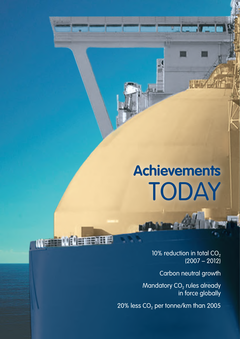# **Achievements**  TODAY

10% reduction in total  $CO<sub>2</sub>$  $(2007 - 2012)$ 

Carbon neutral growth

Mandatory  $CO<sub>2</sub>$  rules already in force globally

20% less  $CO<sub>2</sub>$  per tonne/km than 2005

**Of Demetric** 

WF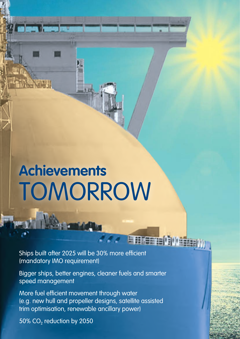# **Achievements**  TOMORROW

Ships built after 2025 will be 30% more efficient (mandatory IMO requirement)

Bigger ships, better engines, cleaner fuels and smarter speed management

**ENERGE OR** 

More fuel efficient movement through water (e.g. new hull and propeller designs, satellite assisted trim optimisation, renewable ancillary power)

50% CO<sub>2</sub> reduction by 2050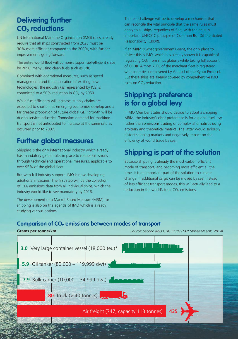### **Delivering further**  CO<sub>2</sub> reductions

UN International Maritime Organization (IMO) rules already require that all ships constructed from 2025 must be 30% more efficient compared to the 2000s, with further improvements going forward.

The entire world fleet will comprise super fuel-efficient ships by 2050, many using clean fuels such as LNG.

Combined with operational measures, such as speed management, and the application of exciting new technologies, the industry (as represented by ICS) is committed to a 50% reduction in  $CO<sub>2</sub>$  by 2050.

While fuel efficiency will increase, supply chains are expected to shorten, as emerging economies develop and a far greater proportion of future global GDP growth will be due to service industries. Tonne/km demand for maritime transport is not anticipated to increase at the same rate as occurred prior to 2007.

### **Further global measures**

Shipping is the only international industry which already has mandatory global rules in place to reduce emissions through technical and operational measures, applicable to over 95% of the global fleet.

But with full industry support, IMO is now developing additional measures. The first step will be the collection of  $CO<sub>2</sub>$  emissions data from all individual ships, which the industry would like to see mandatory by 2018.

The development of a Market Based Measure (MBM) for shipping is also on the agenda of IMO which is already studying various options.

The real challenge will be to develop a mechanism that can reconcile the vital principle that the same rules must apply to all ships, regardless of flag, with the equally important UNFCCC principle of Common But Differentiated Responsibility (CBDR).

If an MBM is what governments want, the only place to deliver this is IMO, which has already shown it is capable of regulating  $CO<sub>2</sub>$  from ships globally while taking full account of CBDR. Almost 70% of the merchant fleet is registered with countries not covered by Annex I of the Kyoto Protocol. But these ships are already covered by comprehensive IMO rules on CO<sub>2</sub> reduction.

### **Shipping's preference is for a global levy**

If IMO Member States should decide to adopt a shipping MBM, the industry's clear preference is for a global fuel levy, rather than emissions trading or complex alternatives using arbitrary and theoretical metrics. The latter would seriously distort shipping markets and negatively impact on the efficiency of world trade by sea.

### **Shipping is part of the solution**

Because shipping is already the most carbon efficient mode of transport, and becoming more efficient all the time, it is an important part of the solution to climate change. If additional cargo can be moved by sea, instead of less efficient transport modes, this will actually lead to a reduction in the world's total  $CO<sub>2</sub>$  emissions.

#### Comparison of CO<sub>2</sub> emissions between modes of transport